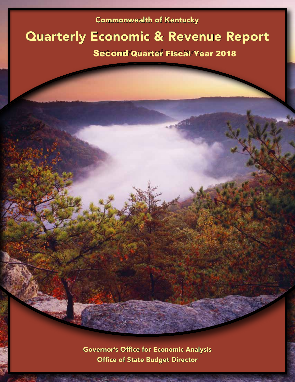# Commonwealth of Kentucky

# Quarterly Economic & Revenue Report

# Second Quarter Fiscal Year 2018

Governor's Office for Economic Analysis Office of State Budget Director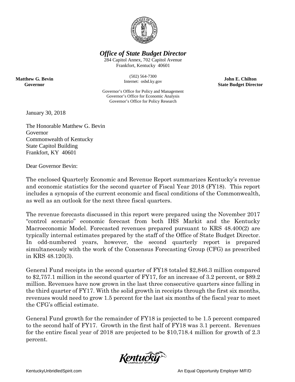

*Office of State Budget Director*

284 Capitol Annex, 702 Capitol Avenue Frankfort, Kentucky 40601

> (502) 564-7300 Internet: osbd.ky.gov

**John E. Chilton State Budget Director**

Governor's Office for Policy and Management Governor's Office for Economic Analysis Governor's Office for Policy Research

January 30, 2018

**Matthew G. Bevin Governor**

> The Honorable Matthew G. Bevin Governor Commonwealth of Kentucky State Capitol Building Frankfort, KY 40601

Dear Governor Bevin:

The enclosed Quarterly Economic and Revenue Report summarizes Kentucky's revenue and economic statistics for the second quarter of Fiscal Year 2018 (FY18). This report includes a synopsis of the current economic and fiscal conditions of the Commonwealth, as well as an outlook for the next three fiscal quarters.

The revenue forecasts discussed in this report were prepared using the November 2017 "control scenario" economic forecast from both IHS Markit and the Kentucky Macroeconomic Model. Forecasted revenues prepared pursuant to KRS 48.400(2) are typically internal estimates prepared by the staff of the Office of State Budget Director. In odd-numbered years, however, the second quarterly report is prepared simultaneously with the work of the Consensus Forecasting Group (CFG) as prescribed in KRS 48.120(3).

General Fund receipts in the second quarter of FY18 totaled \$2,846.3 million compared to \$2,757.1 million in the second quarter of FY17, for an increase of 3.2 percent, or \$89.2 million. Revenues have now grown in the last three consecutive quarters since falling in the third quarter of FY17. With the solid growth in receipts through the first six months, revenues would need to grow 1.5 percent for the last six months of the fiscal year to meet the CFG's official estimate.

General Fund growth for the remainder of FY18 is projected to be 1.5 percent compared to the second half of FY17. Growth in the first half of FY18 was 3.1 percent. Revenues for the entire fiscal year of 2018 are projected to be \$10,718.4 million for growth of 2.3 percent.

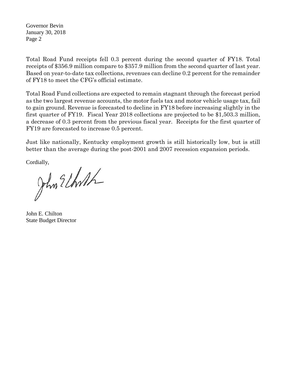Governor Bevin January 30, 2018 Page 2

Total Road Fund receipts fell 0.3 percent during the second quarter of FY18. Total receipts of \$356.9 million compare to \$357.9 million from the second quarter of last year. Based on year-to-date tax collections, revenues can decline 0.2 percent for the remainder of FY18 to meet the CFG's official estimate.

Total Road Fund collections are expected to remain stagnant through the forecast period as the two largest revenue accounts, the motor fuels tax and motor vehicle usage tax, fail to gain ground. Revenue is forecasted to decline in FY18 before increasing slightly in the first quarter of FY19. Fiscal Year 2018 collections are projected to be \$1,503.3 million, a decrease of 0.3 percent from the previous fiscal year. Receipts for the first quarter of FY19 are forecasted to increase 0.5 percent.

Just like nationally, Kentucky employment growth is still historically low, but is still better than the average during the post-2001 and 2007 recession expansion periods.

Cordially,

Jhn Elhoth

John E. Chilton State Budget Director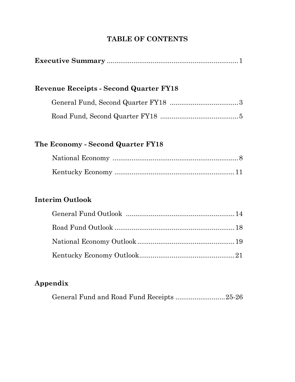# **TABLE OF CONTENTS**

| <b>Revenue Receipts - Second Quarter FY18</b> |  |
|-----------------------------------------------|--|
|                                               |  |
|                                               |  |
| The Economy - Second Quarter FY18             |  |
| <b>Interim Outlook</b>                        |  |
|                                               |  |
|                                               |  |

# **Appendix**

| General Fund and Road Fund Receipts 25-26 |
|-------------------------------------------|
|-------------------------------------------|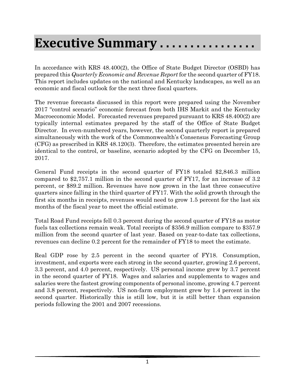# **Executive Summary . . . . . . . . . . . . . . . .**

In accordance with KRS 48.400(2), the Office of State Budget Director (OSBD) has prepared this *Quarterly Economic and Revenue Report* for the second quarter of FY18. This report includes updates on the national and Kentucky landscapes, as well as an economic and fiscal outlook for the next three fiscal quarters.

The revenue forecasts discussed in this report were prepared using the November 2017 "control scenario" economic forecast from both IHS Markit and the Kentucky Macroeconomic Model. Forecasted revenues prepared pursuant to KRS 48.400(2) are typically internal estimates prepared by the staff of the Office of State Budget Director. In even-numbered years, however, the second quarterly report is prepared simultaneously with the work of the Commonwealth's Consensus Forecasting Group (CFG) as prescribed in KRS 48.120(3). Therefore, the estimates presented herein are identical to the control, or baseline, scenario adopted by the CFG on December 15, 2017.

General Fund receipts in the second quarter of FY18 totaled \$2,846.3 million compared to \$2,757.1 million in the second quarter of FY17, for an increase of 3.2 percent, or \$89.2 million. Revenues have now grown in the last three consecutive quarters since falling in the third quarter of FY17. With the solid growth through the first six months in receipts, revenues would need to grow 1.5 percent for the last six months of the fiscal year to meet the official estimate.

Total Road Fund receipts fell 0.3 percent during the second quarter of FY18 as motor fuels tax collections remain weak. Total receipts of \$356.9 million compare to \$357.9 million from the second quarter of last year. Based on year-to-date tax collections, revenues can decline 0.2 percent for the remainder of FY18 to meet the estimate.

Real GDP rose by 2.5 percent in the second quarter of FY18. Consumption, investment, and exports were each strong in the second quarter, growing 2.6 percent, 3.3 percent, and 4.0 percent, respectively. US personal income grew by 3.7 percent in the second quarter of FY18. Wages and salaries and supplements to wages and salaries were the fastest growing components of personal income, growing 4.7 percent and 3.8 percent, respectively. US non-farm employment grew by 1.4 percent in the second quarter. Historically this is still low, but it is still better than expansion periods following the 2001 and 2007 recessions.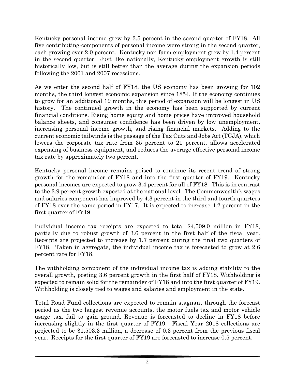Kentucky personal income grew by 3.5 percent in the second quarter of FY18. All five contributing-components of personal income were strong in the second quarter, each growing over 2.0 percent. Kentucky non-farm employment grew by 1.4 percent in the second quarter. Just like nationally, Kentucky employment growth is still historically low, but is still better than the average during the expansion periods following the 2001 and 2007 recessions.

As we enter the second half of FY18, the US economy has been growing for 102 months, the third longest economic expansion since 1854. If the economy continues to grow for an additional 19 months, this period of expansion will be longest in US history. The continued growth in the economy has been supported by current financial conditions. Rising home equity and home prices have improved household balance sheets, and consumer confidence has been driven by low unemployment, increasing personal income growth, and rising financial markets. Adding to the current economic tailwinds is the passage of the Tax Cuts and Jobs Act (TCJA), which lowers the corporate tax rate from 35 percent to 21 percent, allows accelerated expensing of business equipment, and reduces the average effective personal income tax rate by approximately two percent.

Kentucky personal income remains poised to continue its recent trend of strong growth for the remainder of FY18 and into the first quarter of FY19. Kentucky personal incomes are expected to grow 3.4 percent for all of FY18. This is in contrast to the 3.9 percent growth expected at the national level. The Commonwealth's wages and salaries component has improved by 4.3 percent in the third and fourth quarters of FY18 over the same period in FY17. It is expected to increase 4.2 percent in the first quarter of FY19.

Individual income tax receipts are expected to total \$4,509.0 million in FY18, partially due to robust growth of 3.6 percent in the first half of the fiscal year. Receipts are projected to increase by 1.7 percent during the final two quarters of FY18. Taken in aggregate, the individual income tax is forecasted to grow at 2.6 percent rate for FY18.

The withholding component of the individual income tax is adding stability to the overall growth, posting 3.6 percent growth in the first half of FY18. Withholding is expected to remain solid for the remainder of FY18 and into the first quarter of FY19. Withholding is closely tied to wages and salaries and employment in the state.

Total Road Fund collections are expected to remain stagnant through the forecast period as the two largest revenue accounts, the motor fuels tax and motor vehicle usage tax, fail to gain ground. Revenue is forecasted to decline in FY18 before increasing slightly in the first quarter of FY19. Fiscal Year 2018 collections are projected to be \$1,503.3 million, a decrease of 0.3 percent from the previous fiscal year. Receipts for the first quarter of FY19 are forecasted to increase 0.5 percent.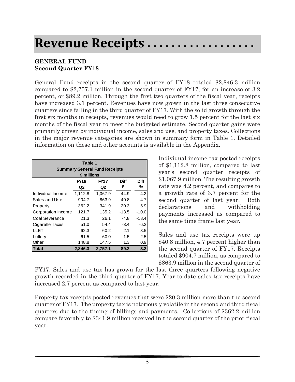# **Revenue Receipts . . . . . . . . . . . . . . . . . .**

## **GENERAL FUND Second Quarter FY18**

General Fund receipts in the second quarter of FY18 totaled \$2,846.3 million compared to \$2,757.1 million in the second quarter of FY17, for an increase of 3.2 percent, or \$89.2 million. Through the first two quarters of the fiscal year, receipts have increased 3.1 percent. Revenues have now grown in the last three consecutive quarters since falling in the third quarter of FY17. With the solid growth through the first six months in receipts, revenues would need to grow 1.5 percent for the last six months of the fiscal year to meet the budgeted estimate. Second quarter gains were primarily driven by individual income, sales and use, and property taxes. Collections in the major revenue categories are shown in summary form in Table 1. Detailed information on these and other accounts is available in the Appendix.

| Table 1<br><b>Summary General Fund Receipts</b><br>\$ millions |             |             |             |         |  |  |  |
|----------------------------------------------------------------|-------------|-------------|-------------|---------|--|--|--|
|                                                                | <b>FY18</b> | <b>FY17</b> | <b>Diff</b> | Diff    |  |  |  |
|                                                                | Q2          | Q2          | \$          | %       |  |  |  |
| Individual Income                                              | 1,112.8     | 1,067.9     | 44.9        | 4.2     |  |  |  |
| Sales and Use                                                  | 904.7       | 863.9       | 40.8        | 4.7     |  |  |  |
| Property                                                       | 362.2       | 341.9       | 20.3        | 5.9     |  |  |  |
| Corporation Income                                             | 121.7       | 135.2       | $-13.5$     | $-10.0$ |  |  |  |
| Coal Severance                                                 | 21.3        | 26.1        | $-4.8$      | $-18.4$ |  |  |  |
| Cigarette Taxes                                                | 51.0        | 54.4        | $-3.4$      | $-6.2$  |  |  |  |
| LLET                                                           | 62.3        | 60.2        | 2.1         | 3.5     |  |  |  |
| Lottery                                                        | 61.5        | 60.0        | 1.5         | 2.5     |  |  |  |
| Other                                                          | 148.8       | 147.5       | 1.3         | 0.9     |  |  |  |
| Total                                                          | 2,846.3     | 2,757.1     | 89.2        | 3.2     |  |  |  |

Individual income tax posted receipts of \$1,112.8 million, compared to last year's second quarter receipts of \$1,067.9 million. The resulting growth rate was 4.2 percent, and compares to a growth rate of 3.7 percent for the second quarter of last year. Both declarations and withholding payments increased as compared to the same time frame last year.

Sales and use tax receipts were up \$40.8 million, 4.7 percent higher than the second quarter of FY17. Receipts totaled \$904.7 million, as compared to \$863.9 million in the second quarter of

FY17. Sales and use tax has grown for the last three quarters following negative growth recorded in the third quarter of FY17. Year-to-date sales tax receipts have increased 2.7 percent as compared to last year.

Property tax receipts posted revenues that were \$20.3 million more than the second quarter of FY17. The property tax is notoriously volatile in the second and third fiscal quarters due to the timing of billings and payments. Collections of \$362.2 million compare favorably to \$341.9 million received in the second quarter of the prior fiscal year.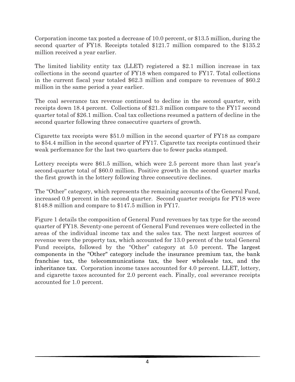Corporation income tax posted a decrease of 10.0 percent, or \$13.5 million, during the second quarter of FY18. Receipts totaled \$121.7 million compared to the \$135.2 million received a year earlier.

The limited liability entity tax (LLET) registered a \$2.1 million increase in tax collections in the second quarter of FY18 when compared to FY17. Total collections in the current fiscal year totaled \$62.3 million and compare to revenues of \$60.2 million in the same period a year earlier.

The coal severance tax revenue continued to decline in the second quarter, with receipts down 18.4 percent. Collections of \$21.3 million compare to the FY17 second quarter total of \$26.1 million. Coal tax collections resumed a pattern of decline in the second quarter following three consecutive quarters of growth.

Cigarette tax receipts were \$51.0 million in the second quarter of FY18 as compare to \$54.4 million in the second quarter of FY17. Cigarette tax receipts continued their weak performance for the last two quarters due to fewer packs stamped.

Lottery receipts were \$61.5 million, which were 2.5 percent more than last year's second-quarter total of \$60.0 million. Positive growth in the second quarter marks the first growth in the lottery following three consecutive declines.

The "Other" category, which represents the remaining accounts of the General Fund, increased 0.9 percent in the second quarter. Second quarter receipts for FY18 were \$148.8 million and compare to \$147.5 million in FY17.

Figure 1 details the composition of General Fund revenues by tax type for the second quarter of FY18. Seventy-one percent of General Fund revenues were collected in the areas of the individual income tax and the sales tax. The next largest sources of revenue were the property tax, which accounted for 13.0 percent of the total General Fund receipts, followed by the "Other" category at 5.0 percent. The largest components in the "Other" category include the insurance premium tax, the bank franchise tax, the telecommunications tax, the beer wholesale tax, and the inheritance tax. Corporation income taxes accounted for 4.0 percent. LLET, lottery, and cigarette taxes accounted for 2.0 percent each. Finally, coal severance receipts accounted for 1.0 percent.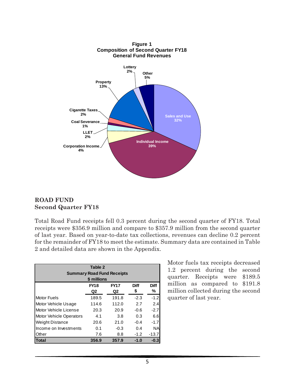

### **ROAD FUND Second Quarter FY18**

Total Road Fund receipts fell 0.3 percent during the second quarter of FY18. Total receipts were \$356.9 million and compare to \$357.9 million from the second quarter of last year. Based on year-to-date tax collections, revenues can decline 0.2 percent for the remainder of FY18 to meet the estimate. Summary data are contained in Table 2 and detailed data are shown in the Appendix.

| Table 2<br><b>Summary Road Fund Receipts</b><br>\$ millions |             |             |        |             |  |  |  |
|-------------------------------------------------------------|-------------|-------------|--------|-------------|--|--|--|
|                                                             | <b>FY18</b> | <b>FY17</b> | Diff   | <b>Diff</b> |  |  |  |
|                                                             | Q2          | Q2          | \$     | ℅           |  |  |  |
| <b>Motor Fuels</b>                                          | 189.5       | 191.8       | $-2.3$ | $-1.2$      |  |  |  |
| Motor Vehicle Usage                                         | 114.6       | 112.0       | 2.7    | 2.4         |  |  |  |
| Motor Vehicle License                                       | 20.3        | 20.9        | $-0.6$ | $-2.7$      |  |  |  |
| <b>Motor Vehicle Operators</b>                              | 4.1         | 3.8         | 0.3    | 6.6         |  |  |  |
| <b>Weight Distance</b>                                      | 20.6        | 21.0        | $-0.4$ | $-1.7$      |  |  |  |
| Income on Investments                                       | 0.1         | $-0.3$      | 0.4    | <b>NA</b>   |  |  |  |
| Other                                                       | 7.6         | 8.8         | $-1.2$ | -13.7       |  |  |  |
| <b>Total</b>                                                | 356.9       | 357.9       | $-1.0$ | $-0.3$      |  |  |  |

Motor fuels tax receipts decreased 1.2 percent during the second quarter. Receipts were \$189.5 million as compared to \$191.8 million collected during the second quarter of last year.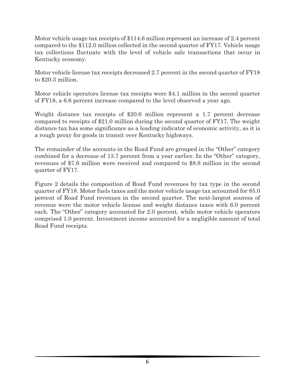Motor vehicle usage tax receipts of \$114.6 million represent an increase of 2.4 percent compared to the \$112.0 million collected in the second quarter of FY17. Vehicle usage tax collections fluctuate with the level of vehicle sale transactions that occur in Kentucky economy.

Motor vehicle license tax receipts decreased 2.7 percent in the second quarter of FY18 to \$20.3 million.

Motor vehicle operators license tax receipts were \$4.1 million in the second quarter of FY18, a 6.6 percent increase compared to the level observed a year ago.

Weight distance tax receipts of \$20.6 million represent a 1.7 percent decrease compared to receipts of \$21.0 million during the second quarter of FY17. The weight distance tax has some significance as a leading indicator of economic activity, as it is a rough proxy for goods in transit over Kentucky highways.

The remainder of the accounts in the Road Fund are grouped in the "Other" category combined for a decrease of 13.7 percent from a year earlier. In the "Other" category, revenues of \$7.6 million were received and compared to \$8.8 million in the second quarter of FY17.

Figure 2 details the composition of Road Fund revenues by tax type in the second quarter of FY18. Motor fuels taxes and the motor vehicle usage tax accounted for 85.0 percent of Road Fund revenues in the second quarter. The next-largest sources of revenue were the motor vehicle license and weight distance taxes with 6.0 percent each. The "Other" category accounted for 2.0 percent, while motor vehicle operators comprised 1.0 percent. Investment income accounted for a negligible amount of total Road Fund receipts.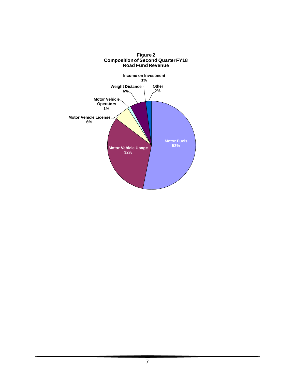

#### **Figure 2 Compositionof Second Quarter FY18 Road Fund Revenue**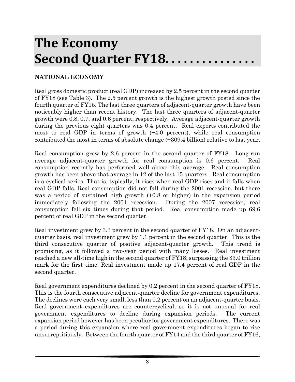# **The Economy Second Quarter FY18. . . . . . . . . . . . . . .**

## **NATIONAL ECONOMY**

Real gross domestic product (real GDP) increased by 2.5 percent in the second quarter of FY18 (see Table 3). The 2.5 percent growth is the highest growth posted since the fourth quarter of FY15. The last three quarters of adjacent-quarter growth have been noticeably higher than recent history. The last three quarters of adjacent-quarter growth were 0.8, 0.7, and 0.6 percent, respectively. Average adjacent-quarter growth during the previous eight quarters was 0.4 percent. Real exports contributed the most to real GDP in terms of growth (+4.0 percent), while real consumption contributed the most in terms of absolute change (+309.4 billion) relative to last year.

Real consumption grew by 2.6 percent in the second quarter of FY18. Long-run average adjacent-quarter growth for real consumption is 0.6 percent. Real consumption recently has performed well above this average. Real consumption growth has been above that average in 12 of the last 15 quarters. Real consumption is a cyclical series. That is, typically, it rises when real GDP rises and it falls when real GDP falls. Real consumption did not fall during the 2001 recession, but there was a period of sustained high growth (+0.8 or higher) in the expansion period immediately following the 2001 recession. During the 2007 recession, real consumption fell six times during that period. Real consumption made up 69.6 percent of real GDP in the second quarter.

Real investment grew by 3.3 percent in the second quarter of FY18. On an adjacentquarter basis, real investment grew by 1.1 percent in the second quarter. This is the third consecutive quarter of positive adjacent-quarter growth. This trend is promising, as it followed a two-year period with many losses. Real investment reached a new all-time high in the second quarter of FY18; surpassing the \$3.0 trillion mark for the first time. Real investment made up 17.4 percent of real GDP in the second quarter.

Real government expenditures declined by 0.2 percent in the second quarter of FY18. This is the fourth consecutive adjacent-quarter decline for government expenditures. The declines were each very small; less than 0.2 percent on an adjacent-quarter basis. Real government expenditures are countercyclical, so it is not unusual for real government expenditures to decline during expansion periods. The current expansion period however has been peculiar for government expenditures. There was a period during this expansion where real government expenditures began to rise unsurreptitiously. Between the fourth quarter of FY14 and the third quarter of FY16,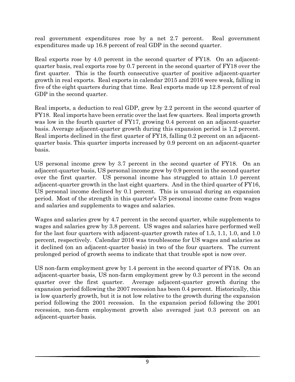real government expenditures rose by a net 2.7 percent. Real government expenditures made up 16.8 percent of real GDP in the second quarter.

Real exports rose by 4.0 percent in the second quarter of FY18. On an adjacentquarter basis, real exports rose by 0.7 percent in the second quarter of FY18 over the first quarter. This is the fourth consecutive quarter of positive adjacent-quarter growth in real exports. Real exports in calendar 2015 and 2016 were weak, falling in five of the eight quarters during that time. Real exports made up 12.8 percent of real GDP in the second quarter.

Real imports, a deduction to real GDP, grew by 2.2 percent in the second quarter of FY18. Real imports have been erratic over the last few quarters. Real imports growth was low in the fourth quarter of FY17, growing 0.4 percent on an adjacent-quarter basis. Average adjacent-quarter growth during this expansion period is 1.2 percent. Real imports declined in the first quarter of FY18, falling 0.2 percent on an adjacentquarter basis. This quarter imports increased by 0.9 percent on an adjacent-quarter basis.

US personal income grew by 3.7 percent in the second quarter of FY18. On an adjacent-quarter basis, US personal income grew by 0.9 percent in the second quarter over the first quarter. US personal income has struggled to attain 1.0 percent adjacent-quarter growth in the last eight quarters. And in the third quarter of FY16, US personal income declined by 0.1 percent. This is unusual during an expansion period. Most of the strength in this quarter's US personal income came from wages and salaries and supplements to wages and salaries.

Wages and salaries grew by 4.7 percent in the second quarter, while supplements to wages and salaries grew by 3.8 percent. US wages and salaries have performed well for the last four quarters with adjacent-quarter growth rates of 1.5, 1.1, 1.0, and 1.0 percent, respectively. Calendar 2016 was troublesome for US wages and salaries as it declined (on an adjacent-quarter basis) in two of the four quarters. The current prolonged period of growth seems to indicate that that trouble spot is now over.

US non-farm employment grew by 1.4 percent in the second quarter of FY18. On an adjacent-quarter basis, US non-farm employment grew by 0.3 percent in the second quarter over the first quarter. Average adjacent-quarter growth during the expansion period following the 2007 recession has been 0.4 percent. Historically, this is low quarterly growth, but it is not low relative to the growth during the expansion period following the 2001 recession. In the expansion period following the 2001 recession, non-farm employment growth also averaged just 0.3 percent on an adjacent-quarter basis.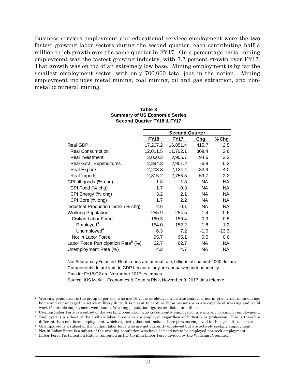Business services employment and educational services employment were the two fastest growing labor sectors during the second quarter, each contributing half a million in job growth over the same quarter in FY17. On a percentage basis, mining employment was the fastest growing industry, with 7.7 percent growth over FY17. That growth was on top of an extremely low base. Mining employment is by far the smallest employment sector, with only 700,000 total jobs in the nation. Mining employment includes metal mining, coal mining, oil and gas extraction, and nonmetallic mineral mining.

|                                                 |             | <b>Second Quarter</b> |        |           |
|-------------------------------------------------|-------------|-----------------------|--------|-----------|
|                                                 | <b>FY18</b> | <b>FY17</b>           | Chg    | % Chg     |
| <b>Real GDP</b>                                 | 17,267.2    | 16,851.4              | 415.7  | 2.5       |
| <b>Real Consumption</b>                         | 12,011.5    | 11,702.1              | 309.4  | 2.6       |
| Real Investment                                 | 3,000.3     | 2,905.7               | 94.6   | 3.3       |
| Real Govt. Expenditures                         | 2,894.3     | 2,901.2               | $-6.9$ | $-0.2$    |
| <b>Real Exports</b>                             | 2,208.3     | 2,124.4               | 83.9   | 4.0       |
| Real Imports                                    | 2,815.2     | 2,755.5               | 59.7   | 2.2       |
| CPI all goods (% chg)                           | 1.8         | 1.8                   | NA.    | NA.       |
| CPI Food (% chg)                                | 1.7         | $-0.3$                | NA.    | NA.       |
| CPI Energy (% chg)                              | 3.2         | 2.1                   | NA.    | <b>NA</b> |
| CPI Core (% chg)                                | 1.7         | 2.2                   | NA.    | NA.       |
| Industrial Production Index (% chg)             | 2.6         | $-0.1$                | NA.    | NA.       |
| Working Population <sup>1</sup>                 | 255.9       | 254.5                 | 1.4    | 0.6       |
| Civilian Labor Force <sup>2</sup>               | 160.3       | 159.4                 | 0.9    | 0.5       |
| Employd <sup>3</sup>                            | 154.0       | 152.2                 | 1.8    | 1.2       |
| Unemployed <sup>4</sup>                         | 6.3         | 7.2                   | $-1.0$ | $-13.3$   |
| Not in Labor Force <sup>5</sup>                 | 95.7        | 95.1                  | 0.5    | 0.6       |
| Labor Force Participation Rate <sup>6</sup> (%) | 62.7        | 62.7                  | NA.    | <b>NA</b> |
| Unemployment Rate (%)                           | 4.2         | 4.7                   | NA.    | NA.       |

#### **Table 3 Summary of US Economic Series Second Quarter FY18 & FY17**

Not Seasonally Adjusted. Real series are annual rate, billions of chained 2000 dollars. Components do not sum to GDP because they are annualized independently. Data for FY18 Q2 are November 2017 estimates.

Source: IHS Markit - Economics & Country Risk, November 8, 2017 data release.

<sup>2</sup> Civilian Labor Force is a subset of the working population who are currently employed or are actively looking for employment.

Unemployed is a subset of the civilian labor force who are not currently employed but are actively seeking employment.

<sup>1</sup> Working population is the group of persons who are 16 years or older, non-institutionalized, not in prison, not in an old-age home and not engaged in active military duty. It is meant to capture those persons who are capable of working and could work if suitable employment were found. Working population figures are listed in millions.

<sup>&</sup>lt;sup>3</sup> Employed is a subset of the civilian labor force who are employed regardless of industry or profession. This is therefore different than non-farm employment, which explicitly does not include those persons employed in the agricultural sector.

<sup>5</sup> Not in Labor Force is a subset of the working population who have decided not to be employed nor seek employment.

<sup>6</sup> Labor Force Participation Rate is computed as the Civilian Labor Force divided by the Working Population.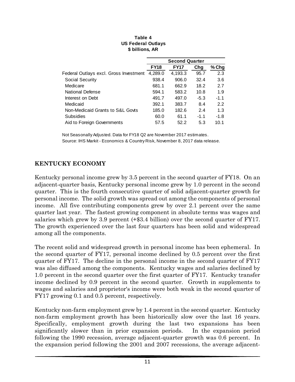|                                        |             | <b>Second Quarter</b> |        |         |
|----------------------------------------|-------------|-----------------------|--------|---------|
|                                        | <b>FY18</b> | <b>FY17</b>           | Chg    | $%$ Chg |
| Federal Outlays excl. Gross Investment | 4,289.0     | 4,193.3               | 95.7   | 2.3     |
| Social Security                        | 938.4       | 906.0                 | 32.4   | 3.6     |
| Medicare                               | 681.1       | 662.9                 | 18.2   | 2.7     |
| National Defense                       | 594.1       | 583.2                 | 10.8   | 1.9     |
| Interest on Debt                       | 491.7       | 497.0                 | $-5.3$ | $-1.1$  |
| Medicaid                               | 392.1       | 383.7                 | 8.4    | 2.2     |
| Non-Medicaid Grants to S&L Govts       | 185.0       | 182.6                 | 2.4    | 1.3     |
| Subsidies                              | 60.0        | 61.1                  | $-1.1$ | -1.8    |
| Aid to Foreign Governments             | 57.5        | 52.2                  | 5.3    | 10.1    |

#### **Table 4 US Federal Outlays \$ billions, AR**

Not Seasonally Adjusted. Data for FY18 Q2 are November 2017 estimates. Source: IHS Markit - Economics & Country Risk, November 8, 2017 data release.

## **KENTUCKY ECONOMY**

Kentucky personal income grew by 3.5 percent in the second quarter of FY18. On an adjacent-quarter basis, Kentucky personal income grew by 1.0 percent in the second quarter. This is the fourth consecutive quarter of solid adjacent-quarter growth for personal income. The solid growth was spread out among the components of personal income. All five contributing components grew by over 2.1 percent over the same quarter last year. The fastest growing component in absolute terms was wages and salaries which grew by 3.9 percent (+\$3.4 billion) over the second quarter of FY17. The growth experienced over the last four quarters has been solid and widespread among all the components.

The recent solid and widespread growth in personal income has been ephemeral. In the second quarter of FY17, personal income declined by 0.5 percent over the first quarter of FY17. The decline in the personal income in the second quarter of FY17 was also diffused among the components. Kentucky wages and salaries declined by 1.0 percent in the second quarter over the first quarter of FY17. Kentucky transfer income declined by 0.9 percent in the second quarter. Growth in supplements to wages and salaries and proprietor's income were both weak in the second quarter of FY17 growing 0.1 and 0.5 percent, respectively.

Kentucky non-farm employment grew by 1.4 percent in the second quarter. Kentucky non-farm employment growth has been historically slow over the last 16 years. Specifically, employment growth during the last two expansions has been significantly slower than in prior expansion periods. In the expansion period following the 1990 recession, average adjacent-quarter growth was 0.6 percent. In the expansion period following the 2001 and 2007 recessions, the average adjacent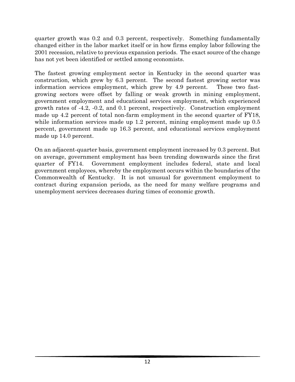quarter growth was 0.2 and 0.3 percent, respectively. Something fundamentally changed either in the labor market itself or in how firms employ labor following the 2001 recession, relative to previous expansion periods. The exact source of the change has not yet been identified or settled among economists.

The fastest growing employment sector in Kentucky in the second quarter was construction, which grew by 6.3 percent. The second fastest growing sector was information services employment, which grew by 4.9 percent. These two fastgrowing sectors were offset by falling or weak growth in mining employment, government employment and educational services employment, which experienced growth rates of -4.2, -0.2, and 0.1 percent, respectively. Construction employment made up 4.2 percent of total non-farm employment in the second quarter of FY18, while information services made up 1.2 percent, mining employment made up 0.5 percent, government made up 16.3 percent, and educational services employment made up 14.0 percent.

On an adjacent-quarter basis, government employment increased by 0.3 percent. But on average, government employment has been trending downwards since the first quarter of FY14. Government employment includes federal, state and local government employees, whereby the employment occurs within the boundaries of the Commonwealth of Kentucky. It is not unusual for government employment to contract during expansion periods, as the need for many welfare programs and unemployment services decreases during times of economic growth.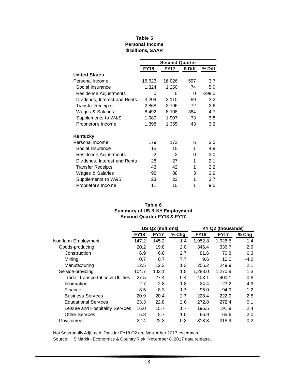|                               |             | <b>Second Quarter</b> |         |          |
|-------------------------------|-------------|-----------------------|---------|----------|
|                               | <b>FY18</b> | <b>FY17</b>           | \$ Diff | % Diff   |
| <b>United States</b>          |             |                       |         |          |
| Personal Income               | 16,623      | 16,026                | 597     | 3.7      |
| Social Insurance              | 1,324       | 1,250                 | 74      | 5.9      |
| Residence Adjustments         | 0           | 0                     | 0       | $-299.0$ |
| Dividends, Interest and Rents | 3,209       | 3,110                 | 99      | 3.2      |
| <b>Transfer Receipts</b>      | 2,868       | 2,796                 | 72      | 2.6      |
| Wages & Salaries              | 8,492       | 8,108                 | 384     | 4.7      |
| Supplements to W&S            | 1,980       | 1,907                 | 73      | 3.8      |
| Proprietor's Income           | 1,398       | 1,355                 | 43      | 3.2      |
| Kentucky                      |             |                       |         |          |
| Personal Income               | 179         | 173                   | 6       | 3.5      |
| Social Insurance              | 15          | 15                    | 1       | 4.9      |
| Residence Adjustments         | -2          | $-2$                  | 0       | $-3.0$   |
| Dividends, Interest and Rents | 28          | 27                    | 1       | 2.1      |
| <b>Transfer Receipts</b>      | 43          | 42                    | 1       | 2.2      |
| Wages & Salaries              | 92          | 88                    | 3       | 3.9      |
| Supplements to W&S            | 23          | 22                    | 1       | 3.7      |
| Proprietor's Income           | 11          | 10                    | 1       | 9.5      |

#### **\$ billions, SAAR Table 5 Personal Income**

#### **Table 6 Summary of US & KY Employment Second Quarter FY18 & FY17**

|                                   |             | US Q2 (millions) |        | KY Q2 (thousands) |             |        |  |
|-----------------------------------|-------------|------------------|--------|-------------------|-------------|--------|--|
|                                   | <b>FY18</b> | <b>FY17</b>      | % Chg  | <b>FY18</b>       | <b>FY17</b> | % Chg  |  |
| Non-farm Employment               | 147.2       | 145.2            | 1.4    | 1,952.8           | 1,926.5     | 1.4    |  |
| Goods-producing                   | 20.2        | 19.8             | 2.0    | 346.4             | 336.7       | 2.9    |  |
| Construction                      | 6.9         | 6.8              | 2.7    | 81.6              | 76.8        | 6.3    |  |
| Mining                            | 0.7         | 0.7              | 7.7    | 9.6               | 10.0        | $-4.2$ |  |
| Manufacturing                     | 12.5        | 12.3             | 1.3    | 255.2             | 249.9       | 2.1    |  |
| Service-providing                 | 104.7       | 103.1            | 1.5    | 1,288.0           | 1,270.9     | 1.3    |  |
| Trade, Transportation & Utilities | 27.5        | 27.4             | 0.4    | 403.1             | 400.1       | 0.8    |  |
| Information                       | 2.7         | 2.8              | $-1.8$ | 24.4              | 23.2        | 4.9    |  |
| Finance                           | 8.5         | 8.3              | 1.7    | 96.0              | 94.9        | 1.2    |  |
| <b>Business Services</b>          | 20.9        | 20.4             | 2.7    | 228.4             | 222.9       | 2.5    |  |
| <b>Educational Services</b>       | 23.3        | 22.8             | 2.0    | 272.8             | 272.4       | 0.1    |  |
| Leisure and Hospitality Services  | 16.0        | 15.7             | 1.7    | 196.5             | 191.9       | 2.4    |  |
| <b>Other Services</b>             | 5.8         | 5.7              | 1.5    | 66.9              | 65.6        | 2.0    |  |
| Government                        | 22.4        | 22.3             | 0.3    | 318.3             | 318.9       | $-0.2$ |  |

Not Seasonally Adjusted. Data for FY18 Q2 are November 2017 estimates.

Source: IHS Markit - Economics & Country Risk, November 8, 2017 data release.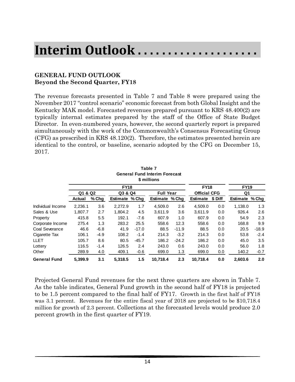# **Interim Outlook . . . . . . . . . . . . . . . . . . . .**

## **GENERAL FUND OUTLOOK Beyond the Second Quarter, FY18**

The revenue forecasts presented in Table 7 and Table 8 were prepared using the November 2017 "control scenario" economic forecast from both Global Insight and the Kentucky MAK model. Forecasted revenues prepared pursuant to KRS 48.400(2) are typically internal estimates prepared by the staff of the Office of State Budget Director. In even-numbered years, however, the second quarterly report is prepared simultaneously with the work of the Commonwealth's Consensus Forecasting Group (CFG) as prescribed in KRS 48.120(2). Therefore, the estimates presented herein are identical to the control, or baseline, scenario adopted by the CFG on December 15, 2017.

|                     |         |        |                |         | I GIJI GI<br><b>General Fund Interim Forecast</b><br>\$ millions |         |                     |         |                |         |
|---------------------|---------|--------|----------------|---------|------------------------------------------------------------------|---------|---------------------|---------|----------------|---------|
|                     |         |        | <b>FY18</b>    |         |                                                                  |         | <b>FY18</b>         |         | <b>FY19</b>    |         |
|                     | Q1 & Q2 |        | Q3 & Q4        |         | <b>Full Year</b>                                                 |         | <b>Official CFG</b> |         | Q <sub>1</sub> |         |
|                     | Actual  | % Chg  | Estimate % Chg |         | Estimate % Chg                                                   |         | <b>Estimate</b>     | \$ Diff | Estimate % Chg |         |
| Individual Income   | 2,236.1 | 3.6    | 2,272.9        | 1.7     | 4,509.0                                                          | 2.6     | 4,509.0             | 0.0     | 1,138.0        | 1.3     |
| Sales & Use         | 1.807.7 | 2.7    | 1.804.2        | 4.5     | 3,611.9                                                          | 3.6     | 3,611.9             | 0.0     | 926.4          | 2.6     |
| Property            | 415.8   | 5.5    | 192.1          | $-7.6$  | 607.9                                                            | 1.0     | 607.9               | 0.0     | 54.9           | 2.3     |
| Corporate Income    | 275.4   | 1.3    | 283.2          | 25.5    | 558.6                                                            | 12.3    | 558.6               | 0.0     | 168.8          | 9.9     |
| Coal Severance      | 46.6    | $-6.8$ | 41.9           | $-17.0$ | 88.5                                                             | $-11.9$ | 88.5                | 0.0     | 20.5           | $-18.9$ |
| Cigarette Tax       | 106.1   | $-4.9$ | 108.2          | $-1.4$  | 214.3                                                            | $-3.2$  | 214.3               | 0.0     | 53.8           | $-2.4$  |
| <b>LLET</b>         | 105.7   | 8.6    | 80.5           | $-45.7$ | 186.2                                                            | $-24.2$ | 186.2               | 0.0     | 45.0           | 3.5     |
| Lottery             | 116.5   | $-1.4$ | 126.5          | 2.4     | 243.0                                                            | 0.6     | 243.0               | 0.0     | 56.0           | 1.8     |
| Other               | 289.9   | 4.0    | 409.1          | $-0.6$  | 699.0                                                            | 1.3     | 699.0               | 0.0     | 140.2          | $-0.7$  |
| <b>General Fund</b> | 5.399.9 | 3.1    | 5.318.5        | 1.5     | 10,718.4                                                         | 2.3     | 10.718.4            | 0.0     | 2.603.6        | 2.0     |

**Table 7**

Projected General Fund revenues for the next three quarters are shown in Table 7. As the table indicates, General Fund growth in the second half of FY18 is projected to be 1.5 percent compared to the final half of FY17. Growth in the first half of FY18 was 3.1 percent. Revenues for the entire fiscal year of 2018 are projected to be \$10,718.4 million for growth of 2.3 percent. Collections at the forecasted levels would produce 2.0 percent growth in the first quarter of FY19.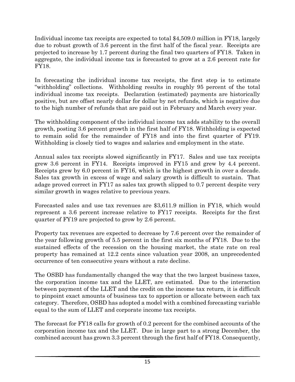Individual income tax receipts are expected to total \$4,509.0 million in FY18, largely due to robust growth of 3.6 percent in the first half of the fiscal year. Receipts are projected to increase by 1.7 percent during the final two quarters of FY18. Taken in aggregate, the individual income tax is forecasted to grow at a 2.6 percent rate for FY18.

In forecasting the individual income tax receipts, the first step is to estimate "withholding" collections. Withholding results in roughly 95 percent of the total individual income tax receipts. Declaration (estimated) payments are historically positive, but are offset nearly dollar for dollar by net refunds, which is negative due to the high number of refunds that are paid out in February and March every year.

The withholding component of the individual income tax adds stability to the overall growth, posting 3.6 percent growth in the first half of FY18. Withholding is expected to remain solid for the remainder of FY18 and into the first quarter of FY19. Withholding is closely tied to wages and salaries and employment in the state.

Annual sales tax receipts slowed significantly in FY17. Sales and use tax receipts grew 3.6 percent in FY14. Receipts improved in FY15 and grew by 4.4 percent. Receipts grew by 6.0 percent in FY16, which is the highest growth in over a decade. Sales tax growth in excess of wage and salary growth is difficult to sustain. That adage proved correct in FY17 as sales tax growth slipped to 0.7 percent despite very similar growth in wages relative to previous years.

Forecasted sales and use tax revenues are \$3,611.9 million in FY18, which would represent a 3.6 percent increase relative to FY17 receipts. Receipts for the first quarter of FY19 are projected to grow by 2.6 percent.

Property tax revenues are expected to decrease by 7.6 percent over the remainder of the year following growth of 5.5 percent in the first six months of FY18. Due to the sustained effects of the recession on the housing market, the state rate on real property has remained at 12.2 cents since valuation year 2008, an unprecedented occurrence of ten consecutive years without a rate decline.

The OSBD has fundamentally changed the way that the two largest business taxes, the corporation income tax and the LLET, are estimated. Due to the interaction between payment of the LLET and the credit on the income tax return, it is difficult to pinpoint exact amounts of business tax to apportion or allocate between each tax category. Therefore, OSBD has adopted a model with a combined forecasting variable equal to the sum of LLET and corporate income tax receipts.

The forecast for FY18 calls for growth of 0.2 percent for the combined accounts of the corporation income tax and the LLET. Due in large part to a strong December, the combined account has grown 3.3 percent through the first half of FY18. Consequently,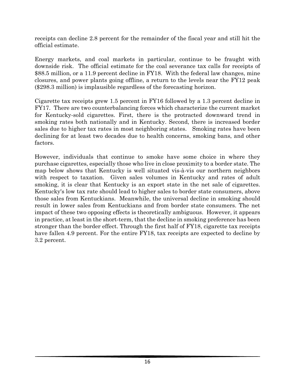receipts can decline 2.8 percent for the remainder of the fiscal year and still hit the official estimate.

Energy markets, and coal markets in particular, continue to be fraught with downside risk. The official estimate for the coal severance tax calls for receipts of \$88.5 million, or a 11.9 percent decline in FY18. With the federal law changes, mine closures, and power plants going offline, a return to the levels near the FY12 peak (\$298.3 million) is implausible regardless of the forecasting horizon.

Cigarette tax receipts grew 1.5 percent in FY16 followed by a 1.3 percent decline in FY17. There are two counterbalancing forces which characterize the current market for Kentucky-sold cigarettes. First, there is the protracted downward trend in smoking rates both nationally and in Kentucky. Second, there is increased border sales due to higher tax rates in most neighboring states. Smoking rates have been declining for at least two decades due to health concerns, smoking bans, and other factors.

However, individuals that continue to smoke have some choice in where they purchase cigarettes, especially those who live in close proximity to a border state. The map below shows that Kentucky is well situated vis-à-vis our northern neighbors with respect to taxation. Given sales volumes in Kentucky and rates of adult smoking, it is clear that Kentucky is an export state in the net sale of cigarettes. Kentucky's low tax rate should lead to higher sales to border state consumers, above those sales from Kentuckians. Meanwhile, the universal decline in smoking should result in lower sales from Kentuckians and from border state consumers. The net impact of these two opposing effects is theoretically ambiguous. However, it appears in practice, at least in the short-term, that the decline in smoking preference has been stronger than the border effect. Through the first half of FY18, cigarette tax receipts have fallen 4.9 percent. For the entire FY18, tax receipts are expected to decline by 3.2 percent.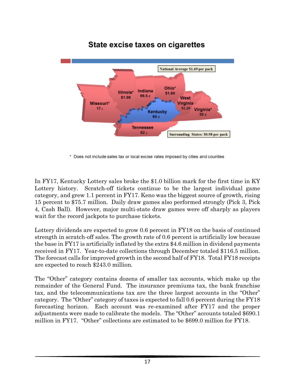

## State excise taxes on cigarettes

\* Does not include sales tax or local excise rates imposed by cities and counties

In FY17, Kentucky Lottery sales broke the \$1.0 billion mark for the first time in KY Lottery history. Scratch-off tickets continue to be the largest individual game category, and grew 1.1 percent in FY17. Keno was the biggest source of growth, rising 15 percent to \$75.7 million. Daily draw games also performed strongly (Pick 3, Pick 4, Cash Ball). However, major multi-state draw games were off sharply as players wait for the record jackpots to purchase tickets.

Lottery dividends are expected to grow 0.6 percent in FY18 on the basis of continued strength in scratch-off sales. The growth rate of 0.6 percent is artificially low because the base in FY17 is artificially inflated by the extra \$4.6 million in dividend payments received in FY17. Year-to-date collections through December totaled \$116.5 million. The forecast calls for improved growth in the second half of FY18. Total FY18 receipts are expected to reach \$243.0 million.

The "Other" category contains dozens of smaller tax accounts, which make up the remainder of the General Fund. The insurance premiums tax, the bank franchise tax, and the telecommunications tax are the three largest accounts in the "Other" category. The "Other" category of taxes is expected to fall 0.6 percent during the FY18 forecasting horizon. Each account was re-examined after FY17 and the proper adjustments were made to calibrate the models. The "Other" accounts totaled \$690.1 million in FY17. "Other" collections are estimated to be \$699.0 million for FY18.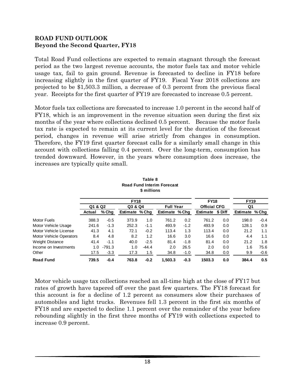### **ROAD FUND OUTLOOK Beyond the Second Quarter, FY18**

Total Road Fund collections are expected to remain stagnant through the forecast period as the two largest revenue accounts, the motor fuels tax and motor vehicle usage tax, fail to gain ground. Revenue is forecasted to decline in FY18 before increasing slightly in the first quarter of FY19. Fiscal Year 2018 collections are projected to be \$1,503.3 million, a decrease of 0.3 percent from the previous fiscal year. Receipts for the first quarter of FY19 are forecasted to increase 0.5 percent.

Motor fuels tax collections are forecasted to increase 1.0 percent in the second half of FY18, which is an improvement in the revenue situation seen during the first six months of the year where collections declined 0.5 percent. Because the motor fuels tax rate is expected to remain at its current level for the duration of the forecast period, changes in revenue will arise strictly from changes in consumption. Therefore, the FY19 first quarter forecast calls for a similarly small change in this account with collections falling 0.4 percent. Over the long-term, consumption has trended downward. However, in the years where consumption does increase, the increases are typically quite small.

|                                |         |          |                | \$ millions |                  |        |                     |         |                |        |
|--------------------------------|---------|----------|----------------|-------------|------------------|--------|---------------------|---------|----------------|--------|
|                                |         |          | <b>FY18</b>    |             |                  |        | <b>FY18</b>         |         | <b>FY19</b>    |        |
|                                | Q1 & Q2 |          | Q3 & Q4        |             | <b>Full Year</b> |        | <b>Official CFG</b> |         | Q1             |        |
|                                | Actual  | % Chq    | Estimate % Chg |             | Estimate % Chg   |        | Estimate            | \$ Diff | Estimate % Chq |        |
| <b>Motor Fuels</b>             | 388.3   | $-0.5$   | 373.9          | 1.0         | 761.2            | 0.2    | 761.2               | 0.0     | 198.0          | $-0.4$ |
| Motor Vehicle Usage            | 241.6   | $-1.3$   | 252.3          | $-1.1$      | 493.9            | $-1.2$ | 493.9               | 0.0     | 128.1          | 0.9    |
| Motor Vehicle License          | 41.3    | 4.1      | 72.1           | $-0.2$      | 113.4            | 1.3    | 113.4               | 0.0     | 21.2           | 1.1    |
| <b>Motor Vehicle Operators</b> | 8.4     | 4.8      | 8.2            | 1.2         | 16.6             | 3.0    | 16.6                | 0.0     | 4.4            | 1.1    |
| Weight Distance                | 41.4    | $-1.1$   | 40.0           | $-2.5$      | 81.4             | $-1.8$ | 81.4                | 0.0     | 21.2           | 1.8    |
| Income on Investments          | 1.0     | $-791.3$ | 1.0            | $-44.4$     | 2.0              | 26.5   | 2.0                 | 0.0     | 1.6            | 75.6   |
| Other                          | 17.5    | $-3.3$   | 17.3           | 1.5         | 34.8             | $-1.0$ | 34.8                | 0.0     | 9.9            | $-0.6$ |
| <b>Road Fund</b>               | 739.5   | $-0.4$   | 763.8          | $-0.2$      | 1.503.3          | $-0.3$ | 1503.3              | 0.0     | 384.4          | 0.5    |

| Table 8                    |
|----------------------------|
| Road Fund Interim Forecast |
| \$ millions                |

Motor vehicle usage tax collections reached an all-time high at the close of FY17 but rates of growth have tapered off over the past few quarters. The FY18 forecast for this account is for a decline of 1.2 percent as consumers slow their purchases of automobiles and light trucks. Revenues fell 1.3 percent in the first six months of FY18 and are expected to decline 1.1 percent over the remainder of the year before rebounding slightly in the first three months of FY19 with collections expected to increase 0.9 percent.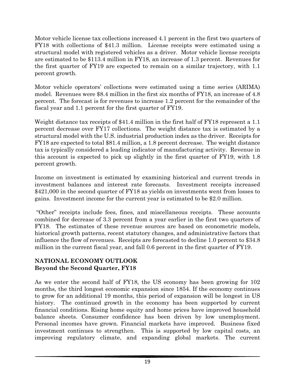Motor vehicle license tax collections increased 4.1 percent in the first two quarters of FY18 with collections of \$41.3 million. License receipts were estimated using a structural model with registered vehicles as a driver. Motor vehicle license receipts are estimated to be \$113.4 million in FY18, an increase of 1.3 percent. Revenues for the first quarter of FY19 are expected to remain on a similar trajectory, with 1.1 percent growth.

Motor vehicle operators' collections were estimated using a time series (ARIMA) model. Revenues were \$8.4 million in the first six months of FY18, an increase of 4.8 percent. The forecast is for revenues to increase 1.2 percent for the remainder of the fiscal year and 1.1 percent for the first quarter of FY19.

Weight distance tax receipts of \$41.4 million in the first half of FY18 represent a 1.1 percent decrease over FY17 collections. The weight distance tax is estimated by a structural model with the U.S. industrial production index as the driver. Receipts for FY18 are expected to total \$81.4 million, a 1.8 percent decrease. The weight distance tax is typically considered a leading indicator of manufacturing activity. Revenue in this account is expected to pick up slightly in the first quarter of FY19, with 1.8 percent growth.

Income on investment is estimated by examining historical and current trends in investment balances and interest rate forecasts. Investment receipts increased \$421,000 in the second quarter of FY18 as yields on investments went from losses to gains. Investment income for the current year is estimated to be \$2.0 million.

"Other" receipts include fees, fines, and miscellaneous receipts. These accounts combined for decrease of 3.3 percent from a year earlier in the first two quarters of FY18. The estimates of these revenue sources are based on econometric models, historical growth patterns, recent statutory changes, and administrative factors that influence the flow of revenues. Receipts are forecasted to decline 1.0 percent to \$34.8 million in the current fiscal year, and fall 0.6 percent in the first quarter of FY19.

## **NATIONAL ECONOMY OUTLOOK Beyond the Second Quarter, FY18**

As we enter the second half of FY18, the US economy has been growing for 102 months, the third longest economic expansion since 1854. If the economy continues to grow for an additional 19 months, this period of expansion will be longest in US history. The continued growth in the economy has been supported by current financial conditions. Rising home equity and home prices have improved household balance sheets. Consumer confidence has been driven by low unemployment. Personal incomes have grown. Financial markets have improved. Business fixed investment continues to strengthen. This is supported by low capital costs, an improving regulatory climate, and expanding global markets. The current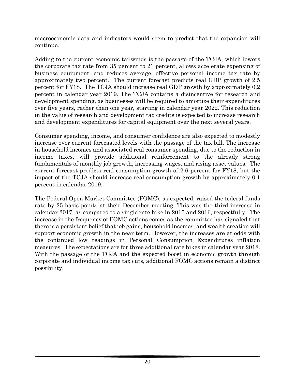macroeconomic data and indicators would seem to predict that the expansion will continue.

Adding to the current economic tailwinds is the passage of the TCJA, which lowers the corporate tax rate from 35 percent to 21 percent, allows accelerate expensing of business equipment, and reduces average, effective personal income tax rate by approximately two percent. The current forecast predicts real GDP growth of 2.5 percent for FY18. The TCJA should increase real GDP growth by approximately 0.2 percent in calendar year 2019. The TCJA contains a disincentive for research and development spending, as businesses will be required to amortize their expenditures over five years, rather than one year, starting in calendar year 2022. This reduction in the value of research and development tax credits is expected to increase research and development expenditures for capital equipment over the next several years.

Consumer spending, income, and consumer confidence are also expected to modestly increase over current forecasted levels with the passage of the tax bill. The increase in household incomes and associated real consumer spending, due to the reduction in income taxes, will provide additional reinforcement to the already strong fundamentals of monthly job growth, increasing wages, and rising asset values. The current forecast predicts real consumption growth of 2.6 percent for FY18, but the impact of the TCJA should increase real consumption growth by approximately 0.1 percent in calendar 2019.

The Federal Open Market Committee (FOMC), as expected, raised the federal funds rate by 25 basis points at their December meeting. This was the third increase in calendar 2017, as compared to a single rate hike in 2015 and 2016, respectfully. The increase in the frequency of FOMC actions comes as the committee has signaled that there is a persistent belief that job gains, household incomes, and wealth creation will support economic growth in the near term. However, the increases are at odds with the continued low readings in Personal Consumption Expenditures inflation measures. The expectations are for three additional rate hikes in calendar year 2018. With the passage of the TCJA and the expected boost in economic growth through corporate and individual income tax cuts, additional FOMC actions remain a distinct possibility.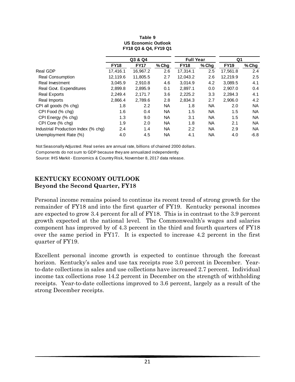|                                     | Q3 & Q4     |             |           | <b>Full Year</b> |           | Q1          |        |
|-------------------------------------|-------------|-------------|-----------|------------------|-----------|-------------|--------|
|                                     | <b>FY18</b> | <b>FY17</b> | $%$ Chg   | <b>FY18</b>      | % Chg     | <b>FY19</b> | % Chg  |
| Real GDP                            | 17,416.1    | 16,967.2    | 2.6       | 17,314.1         | 2.5       | 17,561.8    | 2.4    |
| Real Consumption                    | 12,119.6    | 11,805.5    | 2.7       | 12,043.2         | 2.6       | 12,219.9    | 2.5    |
| Real Investment                     | 3.045.9     | 2.910.8     | 4.6       | 3.014.9          | 4.2       | 3,089.5     | 4.1    |
| Real Govt. Expenditures             | 2,899.8     | 2.895.9     | 0.1       | 2.897.1          | 0.0       | 2.907.0     | 0.4    |
| <b>Real Exports</b>                 | 2,249.4     | 2,171.7     | 3.6       | 2,225.2          | 3.3       | 2,284.3     | 4.1    |
| Real Imports                        | 2,866.4     | 2,789.6     | 2.8       | 2,834.3          | 2.7       | 2,906.0     | 4.2    |
| CPI all goods (% chg)               | 1.8         | 2.2         | <b>NA</b> | 1.8              | <b>NA</b> | 2.0         | NA.    |
| CPI Food (% chg)                    | 1.6         | 0.4         | <b>NA</b> | 1.5              | <b>NA</b> | 1.5         | NA.    |
| CPI Energy (% chg)                  | 1.3         | 9.0         | <b>NA</b> | 3.1              | <b>NA</b> | 1.5         | NA.    |
| CPI Core (% chg)                    | 1.9         | 2.0         | <b>NA</b> | 1.8              | <b>NA</b> | 2.1         | NA.    |
| Industrial Production Index (% chg) | 2.4         | 1.4         | <b>NA</b> | 2.2              | <b>NA</b> | 2.9         | NA.    |
| Unemployment Rate (%)               | 4.0         | 4.5         | <b>NA</b> | 4.1              | NA        | 4.0         | $-6.8$ |

#### **Table 9 US Economic Outlook FY18 Q3 & Q4, FY19 Q1**

Not Seasonally Adjusted. Real series are annual rate, billions of chained 2000 dollars.

Components do not sum to GDP because they are annualized independently.

Source: IHS Markit - Economics & Country Risk, November 8, 2017 data release.

## **KENTUCKY ECONOMY OUTLOOK Beyond the Second Quarter, FY18**

Personal income remains poised to continue its recent trend of strong growth for the remainder of FY18 and into the first quarter of FY19. Kentucky personal incomes are expected to grow 3.4 percent for all of FY18. This is in contrast to the 3.9 percent growth expected at the national level. The Commonwealth's wages and salaries component has improved by of 4.3 percent in the third and fourth quarters of FY18 over the same period in FY17. It is expected to increase 4.2 percent in the first quarter of FY19.

Excellent personal income growth is expected to continue through the forecast horizon. Kentucky's sales and use tax receipts rose 3.0 percent in December. Yearto-date collections in sales and use collections have increased 2.7 percent. Individual income tax collections rose 14.2 percent in December on the strength of withholding receipts. Year-to-date collections improved to 3.6 percent, largely as a result of the strong December receipts.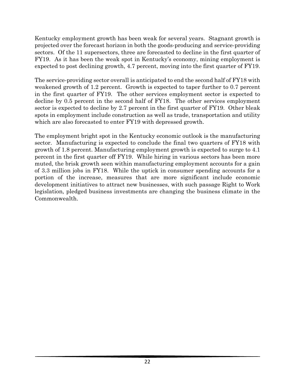Kentucky employment growth has been weak for several years. Stagnant growth is projected over the forecast horizon in both the goods-producing and service-providing sectors. Of the 11 supersectors, three are forecasted to decline in the first quarter of FY19. As it has been the weak spot in Kentucky's economy, mining employment is expected to post declining growth, 4.7 percent, moving into the first quarter of FY19.

The service-providing sector overall is anticipated to end the second half of FY18 with weakened growth of 1.2 percent. Growth is expected to taper further to 0.7 percent in the first quarter of FY19. The other services employment sector is expected to decline by 0.5 percent in the second half of FY18. The other services employment sector is expected to decline by 2.7 percent in the first quarter of FY19. Other bleak spots in employment include construction as well as trade, transportation and utility which are also forecasted to enter FY19 with depressed growth.

The employment bright spot in the Kentucky economic outlook is the manufacturing sector. Manufacturing is expected to conclude the final two quarters of FY18 with growth of 1.8 percent. Manufacturing employment growth is expected to surge to 4.1 percent in the first quarter off FY19. While hiring in various sectors has been more muted, the brisk growth seen within manufacturing employment accounts for a gain of 3.3 million jobs in FY18. While the uptick in consumer spending accounts for a portion of the increase, measures that are more significant include economic development initiatives to attract new businesses, with such passage Right to Work legislation, pledged business investments are changing the business climate in the Commonwealth.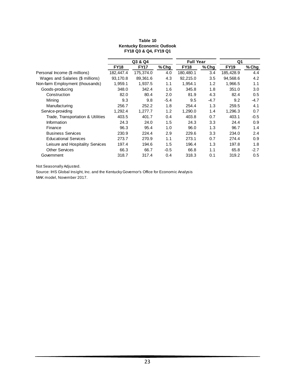|                                   | Q3 & Q4     |             | <b>Full Year</b> |             | Q <sub>1</sub> |             |         |
|-----------------------------------|-------------|-------------|------------------|-------------|----------------|-------------|---------|
|                                   | <b>FY18</b> | <b>FY17</b> | $%$ Chq          | <b>FY18</b> | $%$ Chg        | <b>FY19</b> | $%$ Chg |
| Personal Income (\$ millions)     | 182,447.4   | 175,374.0   | 4.0              | 180,480.1   | 3.4            | 185,428.9   | 4.4     |
| Wages and Salaries (\$ millions)  | 93,170.8    | 89,361.6    | 4.3              | 92,215.0    | 3.5            | 94.568.6    | 4.2     |
| Non-farm Employment (thousands)   | 1,959.1     | 1,937.5     | 1.1              | 1,954.1     | 1.2            | 1,966.5     | 1.1     |
| Goods-producing                   | 348.0       | 342.4       | 1.6              | 345.8       | 1.8            | 351.0       | 3.0     |
| Construction                      | 82.0        | 80.4        | 2.0              | 81.9        | 4.3            | 82.4        | 0.5     |
| Mining                            | 9.3         | 9.8         | $-5.4$           | 9.5         | $-4.7$         | 9.2         | $-4.7$  |
| Manufacturing                     | 256.7       | 252.2       | 1.8              | 254.4       | 1.3            | 259.5       | 4.1     |
| Service-providing                 | 1,292.4     | 1,277.7     | 1.2              | 1,290.0     | 1.4            | 1,296.3     | 0.7     |
| Trade, Transportation & Utilities | 403.5       | 401.7       | 0.4              | 403.8       | 0.7            | 403.1       | $-0.5$  |
| Information                       | 24.3        | 24.0        | 1.5              | 24.3        | 3.3            | 24.4        | 0.9     |
| Finance                           | 96.3        | 95.4        | 1.0              | 96.0        | 1.3            | 96.7        | 1.4     |
| <b>Business Services</b>          | 230.9       | 224.4       | 2.9              | 229.6       | 3.3            | 234.0       | 2.4     |
| <b>Educational Services</b>       | 273.7       | 270.9       | 1.1              | 273.1       | 0.7            | 274.4       | 0.9     |
| Leisure and Hospitality Services  | 197.4       | 194.6       | 1.5              | 196.4       | 1.3            | 197.8       | 1.8     |
| <b>Other Services</b>             | 66.3        | 66.7        | $-0.5$           | 66.8        | 1.1            | 65.8        | $-2.7$  |
| Government                        | 318.7       | 317.4       | 0.4              | 318.3       | 0.1            | 319.2       | 0.5     |

#### **Table 10 Kentucky Economic Outlook FY18 Q3 & Q4, FY19 Q1**

Not Seasonally Adjusted.

Source: IHS Global Insight, Inc. and the Kentucky Governor's Office for Economic Analysis MAK model, November 2017.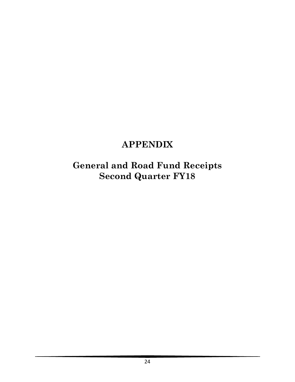# **APPENDIX**

**General and Road Fund Receipts Second Quarter FY18**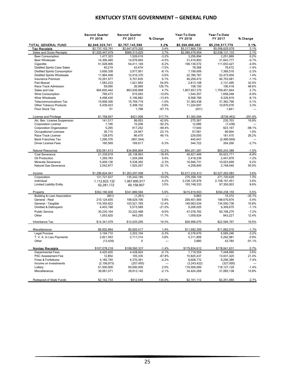### **KENTUCKY STATE GOVERNMENT – GENERAL FUND**

|                                      | <b>Second Quarter</b><br>FY 2018 | <b>Second Quarter</b><br>FY 2017 | % Change | Year-To-Date<br>FY 2018 | Year-To-Date<br>FY 2017 | % Change  |
|--------------------------------------|----------------------------------|----------------------------------|----------|-------------------------|-------------------------|-----------|
| TOTAL GENERAL FUND                   | \$2,846,323,741                  | \$2,757,145,588                  | 3.2%     | \$5,399,886,462         | \$5,239,517,779         | 3.1%      |
| <b>Tax Receipts</b>                  | \$2,737,102,791                  | \$2,647,673,202                  | 3.4%     | \$5,217,860,739         | \$5,058,625,079         | 3.1%      |
| Sales and Gross Receipts             | \$1,025,447,079                  | \$989,313,025                    | 3.7%     | \$2,080,476,954         | \$2,038,131,133         | 2.1%      |
| <b>Beer Consumption</b>              | 1,477,323                        | 1,526,019                        | $-3.2%$  | 3,256,894               | 3,251,869               | 0.2%      |
| <b>Beer Wholesale</b>                | 14,306,460                       | 14,979,993                       | $-4.5%$  | 31,410,893              | 31,643,777              | $-0.7%$   |
| Cigarette                            | 51,028,906                       | 54,411,149                       | $-6.2%$  | 106,136,572             | 111,653,427             | $-4.9%$   |
| <b>Distilled Spirits Case Sales</b>  | 40,219                           | 43,474                           | $-7.5%$  | 78,368                  | 79,472                  | $-1.4%$   |
| <b>Distilled Spirits Consumption</b> | 3,656,338                        | 3,977,561                        | $-8.1%$  | 7,199,009               | 7,366,519               | $-2.3%$   |
| <b>Distilled Spirits Wholesale</b>   | 11,964,408                       | 12.416.370                       | $-3.6%$  | 22.786.787              | 22.473.650              | 1.4%      |
| <b>Insurance Premium</b>             | 10,291,977                       | 9,701,835                        | 6.1%     | 46,259,472              | 46,753,081              | $-1.1%$   |
| Pari-Mutuel                          | 1,583,233                        | 1,021,993                        | 54.9%    | 2,813,108               | 2,131,495               | 32.0%     |
| Race Track Admission                 | 59,090                           | 26,069                           | 126.7%   | 158,150                 | 106,418                 | 48.6%     |
| Sales and Use                        | 904,693,442                      | 863,936,968                      | 4.7%     | 1,807,657,375           | 1,759,451,644           | 2.7%      |
| Wine Consumption                     | 799,473                          | 915,093                          | $-12.6%$ | 1,544,357               | 1,658,248               | $-6.9%$   |
| Wine Wholesale                       | 4,498,430                        | 5,196,882                        | $-13.4%$ | 8,568,766               | 9,326,819               | $-8.1%$   |
| <b>Telecommunications Tax</b>        | 15,608,306                       | 15,759,719                       | $-1.0%$  | 31,383,438              | 31,362,796              | 0.1%      |
| <b>Other Tobacco Products</b>        | 5,439,423                        | 5,398,102                        | 0.8%     | 11,224,697              | 10,870,076              | 3.3%      |
| Floor Stock Tax                      | 51                               | 1,798                            | $-97.1%$ | (931)                   | 1,841                   | $\sim$    |
| License and Privilege                | \$1,758,607                      | \$421.008                        | 317.7%   | \$1,392,094             | (\$726,463)             | $-291.6%$ |
| Alc. Bev. License Suspension         | 141,517                          | 99.053                           | 42.9%    | 275,367                 | 235,703                 | 16.8%     |
| <b>Corporation License</b>           | 1,190                            | 15,208                           | $-92.2%$ | 12,086                  | (7, 438)                |           |
| Corporation Organization             | 5,265                            | 917,252                          | $-99.4%$ | 17,640                  | 923,197                 | $-98.1%$  |
| Occupational Licenses                | 30,715                           | 24,947                           | 23.1%    | 67,581                  | 66,904                  | 1.0%      |
| Race Track License                   | 128,975                          | 86,475                           | 49.1%    | 229.050                 | 181,475                 | 26.2%     |
| <b>Bank Franchise Tax</b>            | 1,290,376                        | (891, 544)                       | ---      | 445,647                 | (2,480,569)             | $\sim$    |
| <b>Driver License Fees</b>           | 160,569                          | 169,617                          | $-5.3%$  | 344,722                 | 354,266                 | $-2.7%$   |
| <b>Natural Resources</b>             | \$30,561,613                     | \$34,806,864                     | $-12.2%$ | \$64,251,281            | \$65,243,389            | $-1.5%$   |
| Coal Severance                       | 21.339.818                       | 26.138.963                       | $-18.4%$ | 46.627.466              | 50.023.771              | $-6.8%$   |
| Oil Production                       | 1,269,783                        | 1,204,268                        | 5.4%     | 2,418,239               | 2,447,879               | $-1.2%$   |
| <b>Minerals Severance</b>            | 5,409,136                        | 5,538,365                        | $-2.3%$  | 10,946,731              | 10,023,699              | 9.2%      |
| Natural Gas Severance                | 2,542,877                        | 1,925,267                        | 32.1%    | 4,258,845               | 2,748,040               | 55.0%     |
| Income                               | \$1,296,824,941                  | \$1,263,297,008                  | 2.7%     | \$2,617,232,413         | \$2,527,262,083         | 3.6%      |
| Corporation                          | 121,721,637                      | 135,242,185                      | $-10.0%$ | 275,358,104             | 271,720,629             | 1.3%      |
| Individual                           | 1,112,822,132                    | 1,067,895,917                    | 4.2%     | 2,236,125,976           | 2,158,191,451           | 3.6%      |
| <b>Limited Liability Entity</b>      | 62,281,172                       | 60,158,907                       | 3.5%     | 105,748,333             | 97,350,003              | 8.6%      |
| Property                             | \$362,166,608                    | \$341,889,584                    | 5.9%     | \$415,819,563           | \$394,238,159           | 5.5%      |
| Building & Loan Association          | (801)                            | (1,261)                          | ---      | 9.883                   | 15,372                  | $-35.7%$  |
| General - Real                       | 210,124,835                      | 198,629,706                      | 5.8%     | 209,401,905             | 198,670,874             | 5.4%      |
| General - Tangible                   | 116,355,622                      | 103,521,765                      | 12.4%    | 149,063,034             | 134,550,736             | 10.8%     |
| Omitted & Delinquent                 | 4,403,168                        | 5,573,589                        | $-21.0%$ | 9,206,025               | 9,309,675               | $-1.1%$   |
| <b>Public Service</b>                | 30,230,164                       | 33,222,488                       | $-9.0%$  | 47,078,792              | 50,748,275              | $-7.2%$   |
| Other                                | 1,053,620                        | 943,295                          | 11.7%    | 1,059,924               | 943,227                 | 12.4%     |
| Inheritance Tax                      | \$14,341,079                     | \$12,025,295                     | 19.3%    | \$26,996,075            | \$22,584,767            | 19.5%     |
| Miscellaneous                        | \$6.002.864                      | \$5,920,417                      | 1.4%     | \$11,692,359            | \$11,892,010            | $-1.7%$   |
| <b>Legal Process</b>                 | 3,194,710                        | 3,203,104                        | $-0.3%$  | 6,376,670               | 6,585,246               | $-3.2%$   |
| T. V. A. In Lieu Payments            | 2,821,593                        | 2,717,314                        | 3.8%     | 5,311,809               | 5,262,981               | 0.9%      |
| Other                                | (13, 439)                        | $\Omega$                         | ---      | 3,880                   | 43,784                  | $-91.1%$  |
|                                      |                                  |                                  |          |                         |                         |           |
| <b>Nontax Receipts</b>               | \$107,078,218                    | \$108,560,337                    | $-1.4%$  | \$179,834,612           | \$178,641,631           | 0.7%      |
| <b>Departmental Fees</b>             | 4,425,420                        | 4,428,924                        | $-0.1%$  | 7,719,554               | 7,448,660               | 3.6%      |
| <b>PSC Assessment Fee</b>            | 12,854                           | 105,335                          | $-87.8%$ | 15,825,437              | 13,031,320              | 21.4%     |
| Fines & Forfeitures                  | 4,185,745                        | 4,370,391                        | $-4.2%$  | 8,608,772               | 9,296,389               | $-7.4%$   |
| Income on Investments                | (2, 106, 873)                    | (257, 455)                       | ---      | (3,243,422)             | (327,005)               |           |
| Lottery                              | 61,500,000                       | 60,000,000                       | 2.5%     | 116,500,000             | 118, 127, 129           | $-1.4%$   |
| Miscellaneous                        | 39,061,071                       | 39,913,142                       | $-2.1%$  | 34,424,269              | 31,065,138              | 10.8%     |
| Redeposit of State Funds             | \$2,142,733                      | \$912,049                        | 134.9%   | \$2,191,112             | \$2,251,069             | $-2.7%$   |